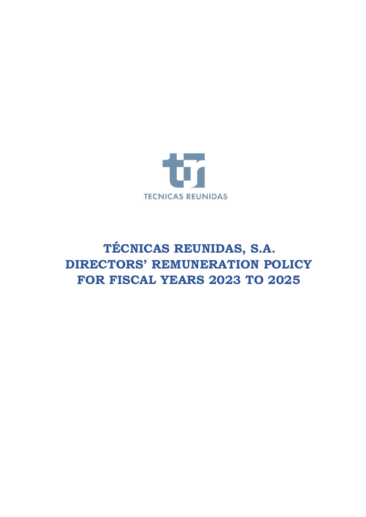

# **TÉCNICAS REUNIDAS, S.A. DIRECTORS' REMUNERATION POLICY FOR FISCAL YEARS 2023 TO 2025**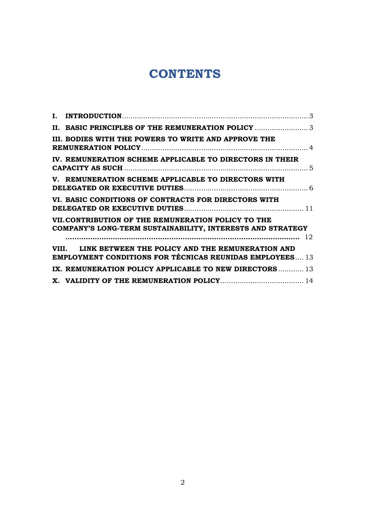## **CONTENTS**

| II. BASIC PRINCIPLES OF THE REMUNERATION POLICY                                                                           |  |
|---------------------------------------------------------------------------------------------------------------------------|--|
| III. BODIES WITH THE POWERS TO WRITE AND APPROVE THE                                                                      |  |
| IV. REMUNERATION SCHEME APPLICABLE TO DIRECTORS IN THEIR                                                                  |  |
| V. REMUNERATION SCHEME APPLICABLE TO DIRECTORS WITH                                                                       |  |
| VI. BASIC CONDITIONS OF CONTRACTS FOR DIRECTORS WITH                                                                      |  |
| VII. CONTRIBUTION OF THE REMUNERATION POLICY TO THE<br>COMPANY'S LONG-TERM SUSTAINABILITY, INTERESTS AND STRATEGY         |  |
|                                                                                                                           |  |
| VIII. LINK BETWEEN THE POLICY AND THE REMUNERATION AND<br><b>EMPLOYMENT CONDITIONS FOR TÉCNICAS REUNIDAS EMPLOYEES 13</b> |  |
| IX. REMUNERATION POLICY APPLICABLE TO NEW DIRECTORS 13                                                                    |  |
|                                                                                                                           |  |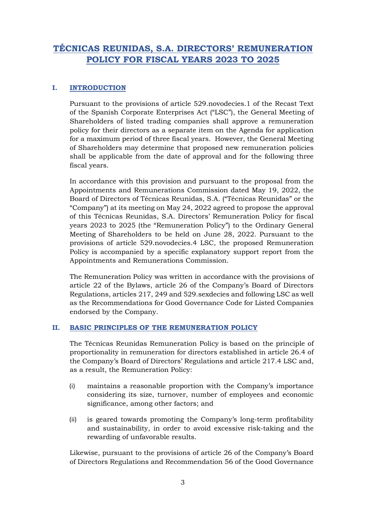### **TÉCNICAS REUNIDAS, S.A. DIRECTORS' REMUNERATION POLICY FOR FISCAL YEARS 2023 TO 2025**

#### <span id="page-2-0"></span>**I. INTRODUCTION**

Pursuant to the provisions of article 529.novodecies.1 of the Recast Text of the Spanish Corporate Enterprises Act ("LSC"), the General Meeting of Shareholders of listed trading companies shall approve a remuneration policy for their directors as a separate item on the Agenda for application for a maximum period of three fiscal years. However, the General Meeting of Shareholders may determine that proposed new remuneration policies shall be applicable from the date of approval and for the following three fiscal years.

In accordance with this provision and pursuant to the proposal from the Appointments and Remunerations Commission dated May 19, 2022, the Board of Directors of Técnicas Reunidas, S.A. ("Técnicas Reunidas" or the "Company") at its meeting on May 24, 2022 agreed to propose the approval of this Técnicas Reunidas, S.A. Directors' Remuneration Policy for fiscal years 2023 to 2025 (the "Remuneration Policy") to the Ordinary General Meeting of Shareholders to be held on June 28, 2022. Pursuant to the provisions of article 529.novodecies.4 LSC, the proposed Remuneration Policy is accompanied by a specific explanatory support report from the Appointments and Remunerations Commission.

The Remuneration Policy was written in accordance with the provisions of article 22 of the Bylaws, article 26 of the Company's Board of Directors Regulations, articles 217, 249 and 529.sexdecies and following LSC as well as the Recommendations for Good Governance Code for Listed Companies endorsed by the Company.

#### <span id="page-2-1"></span>**II. BASIC PRINCIPLES OF THE REMUNERATION POLICY**

The Técnicas Reunidas Remuneration Policy is based on the principle of proportionality in remuneration for directors established in article 26.4 of the Company's Board of Directors' Regulations and article 217.4 LSC and, as a result, the Remuneration Policy:

- (i) maintains a reasonable proportion with the Company's importance considering its size, turnover, number of employees and economic significance, among other factors; and
- (ii) is geared towards promoting the Company's long-term profitability and sustainability, in order to avoid excessive risk-taking and the rewarding of unfavorable results.

Likewise, pursuant to the provisions of article 26 of the Company's Board of Directors Regulations and Recommendation 56 of the Good Governance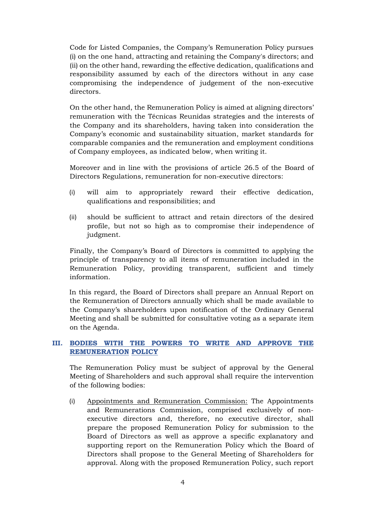Code for Listed Companies, the Company's Remuneration Policy pursues (i) on the one hand, attracting and retaining the Company's directors; and (ii) on the other hand, rewarding the effective dedication, qualifications and responsibility assumed by each of the directors without in any case compromising the independence of judgement of the non-executive directors.

On the other hand, the Remuneration Policy is aimed at aligning directors' remuneration with the Técnicas Reunidas strategies and the interests of the Company and its shareholders, having taken into consideration the Company's economic and sustainability situation, market standards for comparable companies and the remuneration and employment conditions of Company employees, as indicated below, when writing it.

Moreover and in line with the provisions of article 26.5 of the Board of Directors Regulations, remuneration for non-executive directors:

- (i) will aim to appropriately reward their effective dedication, qualifications and responsibilities; and
- (ii) should be sufficient to attract and retain directors of the desired profile, but not so high as to compromise their independence of judgment.

Finally, the Company's Board of Directors is committed to applying the principle of transparency to all items of remuneration included in the Remuneration Policy, providing transparent, sufficient and timely information.

In this regard, the Board of Directors shall prepare an Annual Report on the Remuneration of Directors annually which shall be made available to the Company's shareholders upon notification of the Ordinary General Meeting and shall be submitted for consultative voting as a separate item on the Agenda.

#### <span id="page-3-0"></span>**III. BODIES WITH THE POWERS TO WRITE AND APPROVE THE REMUNERATION POLICY**

The Remuneration Policy must be subject of approval by the General Meeting of Shareholders and such approval shall require the intervention of the following bodies:

(i) Appointments and Remuneration Commission: The Appointments and Remunerations Commission, comprised exclusively of nonexecutive directors and, therefore, no executive director, shall prepare the proposed Remuneration Policy for submission to the Board of Directors as well as approve a specific explanatory and supporting report on the Remuneration Policy which the Board of Directors shall propose to the General Meeting of Shareholders for approval. Along with the proposed Remuneration Policy, such report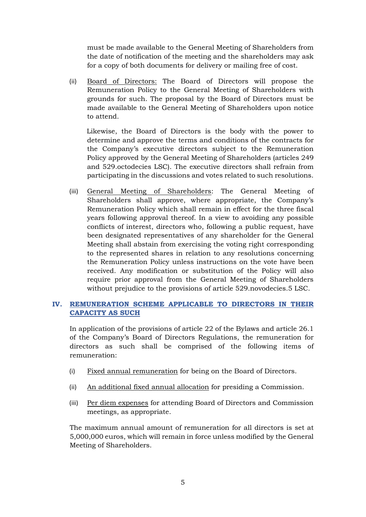must be made available to the General Meeting of Shareholders from the date of notification of the meeting and the shareholders may ask for a copy of both documents for delivery or mailing free of cost.

(ii) Board of Directors: The Board of Directors will propose the Remuneration Policy to the General Meeting of Shareholders with grounds for such. The proposal by the Board of Directors must be made available to the General Meeting of Shareholders upon notice to attend.

Likewise, the Board of Directors is the body with the power to determine and approve the terms and conditions of the contracts for the Company's executive directors subject to the Remuneration Policy approved by the General Meeting of Shareholders (articles 249 and 529.octodecies LSC). The executive directors shall refrain from participating in the discussions and votes related to such resolutions.

(iii) General Meeting of Shareholders: The General Meeting of Shareholders shall approve, where appropriate, the Company's Remuneration Policy which shall remain in effect for the three fiscal years following approval thereof. In a view to avoiding any possible conflicts of interest, directors who, following a public request, have been designated representatives of any shareholder for the General Meeting shall abstain from exercising the voting right corresponding to the represented shares in relation to any resolutions concerning the Remuneration Policy unless instructions on the vote have been received. Any modification or substitution of the Policy will also require prior approval from the General Meeting of Shareholders without prejudice to the provisions of article 529.novodecies.5 LSC.

#### <span id="page-4-0"></span>**IV. REMUNERATION SCHEME APPLICABLE TO DIRECTORS IN THEIR CAPACITY AS SUCH**

In application of the provisions of article 22 of the Bylaws and article 26.1 of the Company's Board of Directors Regulations, the remuneration for directors as such shall be comprised of the following items of remuneration:

- (i) Fixed annual remuneration for being on the Board of Directors.
- (ii) An additional fixed annual allocation for presiding a Commission.
- (iii) Per diem expenses for attending Board of Directors and Commission meetings, as appropriate.

The maximum annual amount of remuneration for all directors is set at 5,000,000 euros, which will remain in force unless modified by the General Meeting of Shareholders.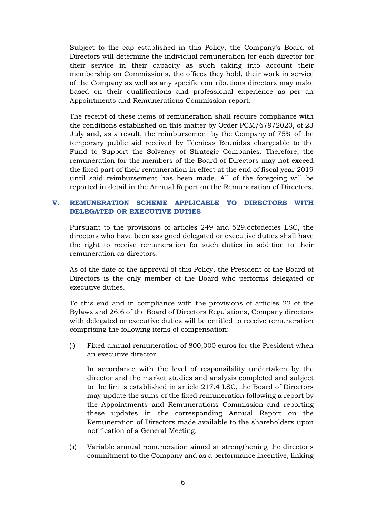Subject to the cap established in this Policy, the Company's Board of Directors will determine the individual remuneration for each director for their service in their capacity as such taking into account their membership on Commissions, the offices they hold, their work in service of the Company as well as any specific contributions directors may make based on their qualifications and professional experience as per an Appointments and Remunerations Commission report.

The receipt of these items of remuneration shall require compliance with the conditions established on this matter by Order PCM/679/2020, of 23 July and, as a result, the reimbursement by the Company of 75% of the temporary public aid received by Técnicas Reunidas chargeable to the Fund to Support the Solvency of Strategic Companies. Therefore, the remuneration for the members of the Board of Directors may not exceed the fixed part of their remuneration in effect at the end of fiscal year 2019 until said reimbursement has been made. All of the foregoing will be reported in detail in the Annual Report on the Remuneration of Directors.

#### <span id="page-5-0"></span>**V. REMUNERATION SCHEME APPLICABLE TO DIRECTORS WITH DELEGATED OR EXECUTIVE DUTIES**

Pursuant to the provisions of articles 249 and 529.octodecies LSC, the directors who have been assigned delegated or executive duties shall have the right to receive remuneration for such duties in addition to their remuneration as directors.

As of the date of the approval of this Policy, the President of the Board of Directors is the only member of the Board who performs delegated or executive duties.

To this end and in compliance with the provisions of articles 22 of the Bylaws and 26.6 of the Board of Directors Regulations, Company directors with delegated or executive duties will be entitled to receive remuneration comprising the following items of compensation:

(i) Fixed annual remuneration of 800,000 euros for the President when an executive director.

In accordance with the level of responsibility undertaken by the director and the market studies and analysis completed and subject to the limits established in article 217.4 LSC, the Board of Directors may update the sums of the fixed remuneration following a report by the Appointments and Remunerations Commission and reporting these updates in the corresponding Annual Report on the Remuneration of Directors made available to the shareholders upon notification of a General Meeting.

(ii) Variable annual remuneration aimed at strengthening the director's commitment to the Company and as a performance incentive, linking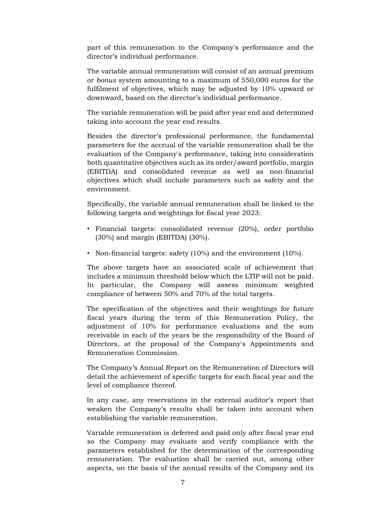part of this remuneration to the Company's performance and the director's individual performance.

The variable annual remuneration will consist of an annual premium or *bonus* system amounting to a maximum of 550,000 euros for the fulfilment of objectives, which may be adjusted by 10% upward or downward, based on the director's individual performance.

The variable remuneration will be paid after year end and determined taking into account the year end results.

Besides the director's professional performance, the fundamental parameters for the accrual of the variable remuneration shall be the evaluation of the Company's performance, taking into consideration both quantitative objectives such as its order/award portfolio, margin (EBITDA) and consolidated revenue as well as non-financial objectives which shall include parameters such as safety and the environment.

Specifically, the variable annual remuneration shall be linked to the following targets and weightings for fiscal year 2023:

- Financial targets: consolidated revenue (20%), order portfolio (30%) and margin (EBITDA) (30%).
- Non-financial targets: safety (10%) and the environment (10%).

The above targets have an associated scale of achievement that includes a minimum threshold below which the LTIP will not be paid. In particular, the Company will assess minimum weighted compliance of between 50% and 70% of the total targets.

The specification of the objectives and their weightings for future fiscal years during the term of this Remuneration Policy, the adjustment of 10% for performance evaluations and the sum receivable in each of the years be the responsibility of the Board of Directors, at the proposal of the Company's Appointments and Remuneration Commission.

The Company's Annual Report on the Remuneration of Directors will detail the achievement of specific targets for each fiscal year and the level of compliance thereof.

In any case, any reservations in the external auditor's report that weaken the Company's results shall be taken into account when establishing the variable remuneration.

Variable remuneration is deferred and paid only after fiscal year end so the Company may evaluate and verify compliance with the parameters established for the determination of the corresponding remuneration. The evaluation shall be carried out, among other aspects, on the basis of the annual results of the Company and its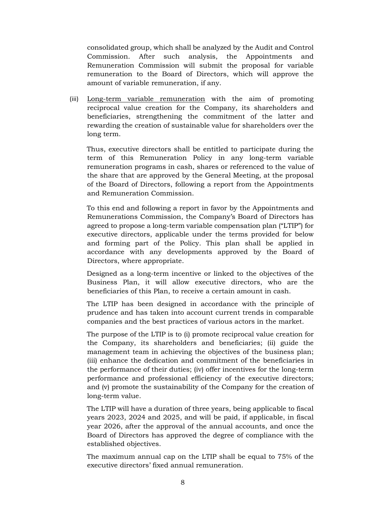consolidated group, which shall be analyzed by the Audit and Control Commission. After such analysis, the Appointments and Remuneration Commission will submit the proposal for variable remuneration to the Board of Directors, which will approve the amount of variable remuneration, if any.

(iii) Long-term variable remuneration with the aim of promoting reciprocal value creation for the Company, its shareholders and beneficiaries, strengthening the commitment of the latter and rewarding the creation of sustainable value for shareholders over the long term.

Thus, executive directors shall be entitled to participate during the term of this Remuneration Policy in any long-term variable remuneration programs in cash, shares or referenced to the value of the share that are approved by the General Meeting, at the proposal of the Board of Directors, following a report from the Appointments and Remuneration Commission.

To this end and following a report in favor by the Appointments and Remunerations Commission, the Company's Board of Directors has agreed to propose a long-term variable compensation plan ("LTIP") for executive directors, applicable under the terms provided for below and forming part of the Policy. This plan shall be applied in accordance with any developments approved by the Board of Directors, where appropriate.

Designed as a long-term incentive or linked to the objectives of the Business Plan, it will allow executive directors, who are the beneficiaries of this Plan, to receive a certain amount in cash.

The LTIP has been designed in accordance with the principle of prudence and has taken into account current trends in comparable companies and the best practices of various actors in the market.

The purpose of the LTIP is to (i) promote reciprocal value creation for the Company, its shareholders and beneficiaries; (ii) guide the management team in achieving the objectives of the business plan; (iii) enhance the dedication and commitment of the beneficiaries in the performance of their duties; (iv) offer incentives for the long-term performance and professional efficiency of the executive directors; and (v) promote the sustainability of the Company for the creation of long-term value.

The LTIP will have a duration of three years, being applicable to fiscal years 2023, 2024 and 2025, and will be paid, if applicable, in fiscal year 2026, after the approval of the annual accounts, and once the Board of Directors has approved the degree of compliance with the established objectives.

The maximum annual cap on the LTIP shall be equal to 75% of the executive directors' fixed annual remuneration.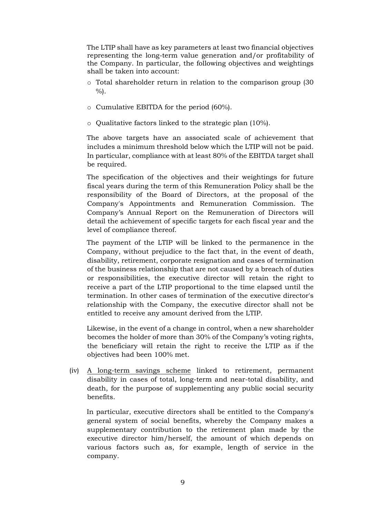The LTIP shall have as key parameters at least two financial objectives representing the long-term value generation and/or profitability of the Company. In particular, the following objectives and weightings shall be taken into account:

- o Total shareholder return in relation to the comparison group (30  $%$ ).
- o Cumulative EBITDA for the period (60%).
- o Qualitative factors linked to the strategic plan (10%).

The above targets have an associated scale of achievement that includes a minimum threshold below which the LTIP will not be paid. In particular, compliance with at least 80% of the EBITDA target shall be required.

The specification of the objectives and their weightings for future fiscal years during the term of this Remuneration Policy shall be the responsibility of the Board of Directors, at the proposal of the Company's Appointments and Remuneration Commission. The Company's Annual Report on the Remuneration of Directors will detail the achievement of specific targets for each fiscal year and the level of compliance thereof.

The payment of the LTIP will be linked to the permanence in the Company, without prejudice to the fact that, in the event of death, disability, retirement, corporate resignation and cases of termination of the business relationship that are not caused by a breach of duties or responsibilities, the executive director will retain the right to receive a part of the LTIP proportional to the time elapsed until the termination. In other cases of termination of the executive director's relationship with the Company, the executive director shall not be entitled to receive any amount derived from the LTIP.

Likewise, in the event of a change in control, when a new shareholder becomes the holder of more than 30% of the Company's voting rights, the beneficiary will retain the right to receive the LTIP as if the objectives had been 100% met.

(iv) A long-term savings scheme linked to retirement, permanent disability in cases of total, long-term and near-total disability, and death, for the purpose of supplementing any public social security benefits.

In particular, executive directors shall be entitled to the Company's general system of social benefits, whereby the Company makes a supplementary contribution to the retirement plan made by the executive director him/herself, the amount of which depends on various factors such as, for example, length of service in the company.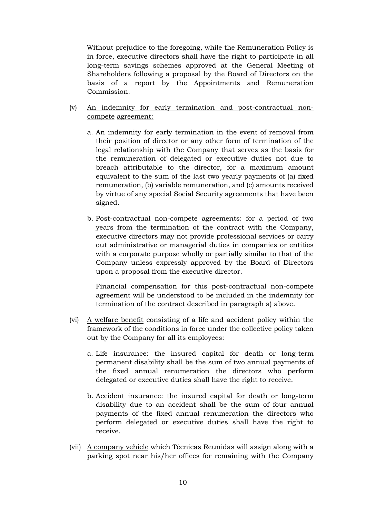Without prejudice to the foregoing, while the Remuneration Policy is in force, executive directors shall have the right to participate in all long-term savings schemes approved at the General Meeting of Shareholders following a proposal by the Board of Directors on the basis of a report by the Appointments and Remuneration Commission.

- (v) An indemnity for early termination and post-contractual noncompete agreement:
	- a. An indemnity for early termination in the event of removal from their position of director or any other form of termination of the legal relationship with the Company that serves as the basis for the remuneration of delegated or executive duties not due to breach attributable to the director, for a maximum amount equivalent to the sum of the last two yearly payments of (a) fixed remuneration, (b) variable remuneration, and (c) amounts received by virtue of any special Social Security agreements that have been signed.
	- b. Post-contractual non-compete agreements: for a period of two years from the termination of the contract with the Company, executive directors may not provide professional services or carry out administrative or managerial duties in companies or entities with a corporate purpose wholly or partially similar to that of the Company unless expressly approved by the Board of Directors upon a proposal from the executive director.

Financial compensation for this post-contractual non-compete agreement will be understood to be included in the indemnity for termination of the contract described in paragraph a) above.

- (vi) A welfare benefit consisting of a life and accident policy within the framework of the conditions in force under the collective policy taken out by the Company for all its employees:
	- a. Life insurance: the insured capital for death or long-term permanent disability shall be the sum of two annual payments of the fixed annual renumeration the directors who perform delegated or executive duties shall have the right to receive.
	- b. Accident insurance: the insured capital for death or long-term disability due to an accident shall be the sum of four annual payments of the fixed annual renumeration the directors who perform delegated or executive duties shall have the right to receive.
- (vii) A company vehicle which Técnicas Reunidas will assign along with a parking spot near his/her offices for remaining with the Company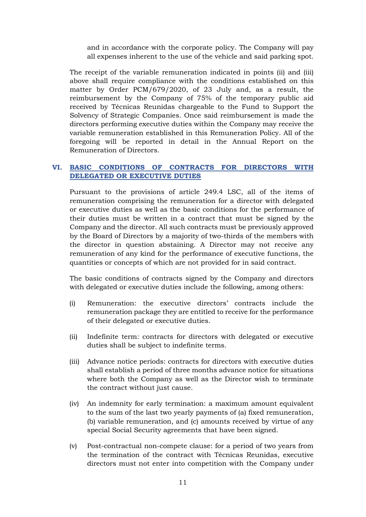and in accordance with the corporate policy. The Company will pay all expenses inherent to the use of the vehicle and said parking spot.

The receipt of the variable remuneration indicated in points (ii) and (iii) above shall require compliance with the conditions established on this matter by Order PCM/679/2020, of 23 July and, as a result, the reimbursement by the Company of 75% of the temporary public aid received by Técnicas Reunidas chargeable to the Fund to Support the Solvency of Strategic Companies. Once said reimbursement is made the directors performing executive duties within the Company may receive the variable remuneration established in this Remuneration Policy. All of the foregoing will be reported in detail in the Annual Report on the Remuneration of Directors.

#### <span id="page-10-0"></span>**VI. BASIC CONDITIONS OF CONTRACTS FOR DIRECTORS WITH DELEGATED OR EXECUTIVE DUTIES**

Pursuant to the provisions of article 249.4 LSC, all of the items of remuneration comprising the remuneration for a director with delegated or executive duties as well as the basic conditions for the performance of their duties must be written in a contract that must be signed by the Company and the director. All such contracts must be previously approved by the Board of Directors by a majority of two-thirds of the members with the director in question abstaining. A Director may not receive any remuneration of any kind for the performance of executive functions, the quantities or concepts of which are not provided for in said contract.

The basic conditions of contracts signed by the Company and directors with delegated or executive duties include the following, among others:

- (i) Remuneration: the executive directors' contracts include the remuneration package they are entitled to receive for the performance of their delegated or executive duties.
- (ii) Indefinite term: contracts for directors with delegated or executive duties shall be subject to indefinite terms.
- (iii) Advance notice periods: contracts for directors with executive duties shall establish a period of three months advance notice for situations where both the Company as well as the Director wish to terminate the contract without just cause.
- (iv) An indemnity for early termination: a maximum amount equivalent to the sum of the last two yearly payments of (a) fixed remuneration, (b) variable remuneration, and (c) amounts received by virtue of any special Social Security agreements that have been signed.
- (v) Post-contractual non-compete clause: for a period of two years from the termination of the contract with Técnicas Reunidas, executive directors must not enter into competition with the Company under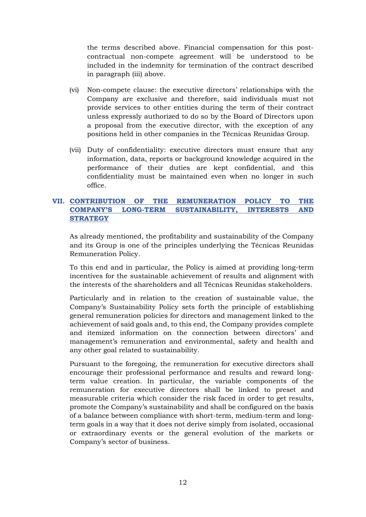the terms described above. Financial compensation for this postcontractual non-compete agreement will be understood to be included in the indemnity for termination of the contract described in paragraph (iii) above.

- (vi) Non-compete clause: the executive directors' relationships with the Company are exclusive and therefore, said individuals must not provide services to other entities during the term of their contract unless expressly authorized to do so by the Board of Directors upon a proposal from the executive director, with the exception of any positions held in other companies in the Técnicas Reunidas Group.
- (vii) Duty of confidentiality: executive directors must ensure that any information, data, reports or background knowledge acquired in the performance of their duties are kept confidential, and this confidentiality must be maintained even when no longer in such office.

#### <span id="page-11-0"></span>**VII. CONTRIBUTION OF THE REMUNERATION POLICY TO THE COMPANY'S LONG-TERM SUSTAINABILITY, INTERESTS AND STRATEGY**

As already mentioned, the profitability and sustainability of the Company and its Group is one of the principles underlying the Técnicas Reunidas Remuneration Policy.

To this end and in particular, the Policy is aimed at providing long-term incentives for the sustainable achievement of results and alignment with the interests of the shareholders and all Técnicas Reunidas stakeholders.

Particularly and in relation to the creation of sustainable value, the Company's Sustainability Policy sets forth the principle of establishing general remuneration policies for directors and management linked to the achievement of said goals and, to this end, the Company provides complete and itemized information on the connection between directors' and management's remuneration and environmental, safety and health and any other goal related to sustainability.

Pursuant to the foregoing, the remuneration for executive directors shall encourage their professional performance and results and reward longterm value creation. In particular, the variable components of the remuneration for executive directors shall be linked to preset and measurable criteria which consider the risk faced in order to get results, promote the Company's sustainability and shall be configured on the basis of a balance between compliance with short-term, medium-term and longterm goals in a way that it does not derive simply from isolated, occasional or extraordinary events or the general evolution of the markets or Company's sector of business.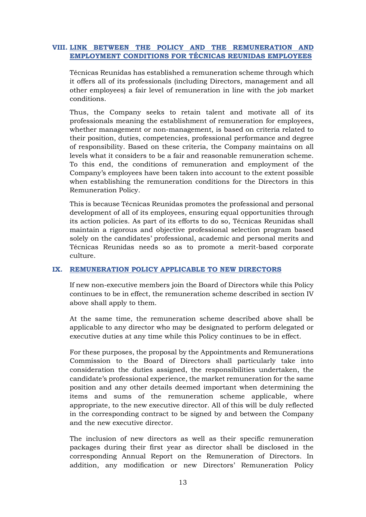#### <span id="page-12-0"></span>**VIII. LINK BETWEEN THE POLICY AND THE REMUNERATION AND EMPLOYMENT CONDITIONS FOR TÉCNICAS REUNIDAS EMPLOYEES**

Técnicas Reunidas has established a remuneration scheme through which it offers all of its professionals (including Directors, management and all other employees) a fair level of remuneration in line with the job market conditions.

Thus, the Company seeks to retain talent and motivate all of its professionals meaning the establishment of remuneration for employees, whether management or non-management, is based on criteria related to their position, duties, competencies, professional performance and degree of responsibility. Based on these criteria, the Company maintains on all levels what it considers to be a fair and reasonable remuneration scheme. To this end, the conditions of remuneration and employment of the Company's employees have been taken into account to the extent possible when establishing the remuneration conditions for the Directors in this Remuneration Policy.

This is because Técnicas Reunidas promotes the professional and personal development of all of its employees, ensuring equal opportunities through its action policies. As part of its efforts to do so, Técnicas Reunidas shall maintain a rigorous and objective professional selection program based solely on the candidates' professional, academic and personal merits and Técnicas Reunidas needs so as to promote a merit-based corporate culture.

#### <span id="page-12-1"></span>**IX. REMUNERATION POLICY APPLICABLE TO NEW DIRECTORS**

If new non-executive members join the Board of Directors while this Policy continues to be in effect, the remuneration scheme described in section IV above shall apply to them.

At the same time, the remuneration scheme described above shall be applicable to any director who may be designated to perform delegated or executive duties at any time while this Policy continues to be in effect.

For these purposes, the proposal by the Appointments and Remunerations Commission to the Board of Directors shall particularly take into consideration the duties assigned, the responsibilities undertaken, the candidate's professional experience, the market remuneration for the same position and any other details deemed important when determining the items and sums of the remuneration scheme applicable, where appropriate, to the new executive director. All of this will be duly reflected in the corresponding contract to be signed by and between the Company and the new executive director.

The inclusion of new directors as well as their specific remuneration packages during their first year as director shall be disclosed in the corresponding Annual Report on the Remuneration of Directors. In addition, any modification or new Directors' Remuneration Policy